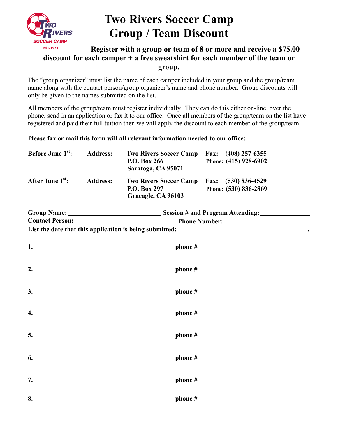

## **Two Rivers Soccer Camp Group / Team Discount**

## **Register with a group or team of 8 or more and receive a \$75.00 discount for each camper + a free sweatshirt for each member of the team or group.**

The "group organizer" must list the name of each camper included in your group and the group/team name along with the contact person/group organizer's name and phone number. Group discounts will only be given to the names submitted on the list.

All members of the group/team must register individually. They can do this either on-line, over the phone, send in an application or fax it to our office. Once all members of the group/team on the list have registered and paid their full tuition then we will apply the discount to each member of the group/team.

## **Please fax or mail this form will all relevant information needed to our office:**

| Before June 1 <sup>st</sup> : | <b>Address:</b> | Two Rivers Soccer Camp Fax: (408) 257-6355<br>P.O. Box 266<br>Saratoga, CA 95071 | Phone: (415) 928-6902 |
|-------------------------------|-----------------|----------------------------------------------------------------------------------|-----------------------|
| After June 1 <sup>st</sup> :  | <b>Address:</b> | Two Rivers Soccer Camp Fax: (530) 836-4529<br>P.O. Box 297<br>Graeagle, CA 96103 | Phone: (530) 836-2869 |
|                               |                 |                                                                                  |                       |
|                               |                 |                                                                                  |                       |
|                               |                 |                                                                                  |                       |
| 1.                            | phone #         |                                                                                  |                       |
| 2.                            |                 | phone #                                                                          |                       |
| 3.                            |                 | phone #                                                                          |                       |
| 4.                            |                 | phone#                                                                           |                       |
| 5.                            |                 | phone#                                                                           |                       |
| 6.                            |                 | phone#                                                                           |                       |
| 7.                            |                 | phone#                                                                           |                       |
| 8.                            |                 | phone#                                                                           |                       |